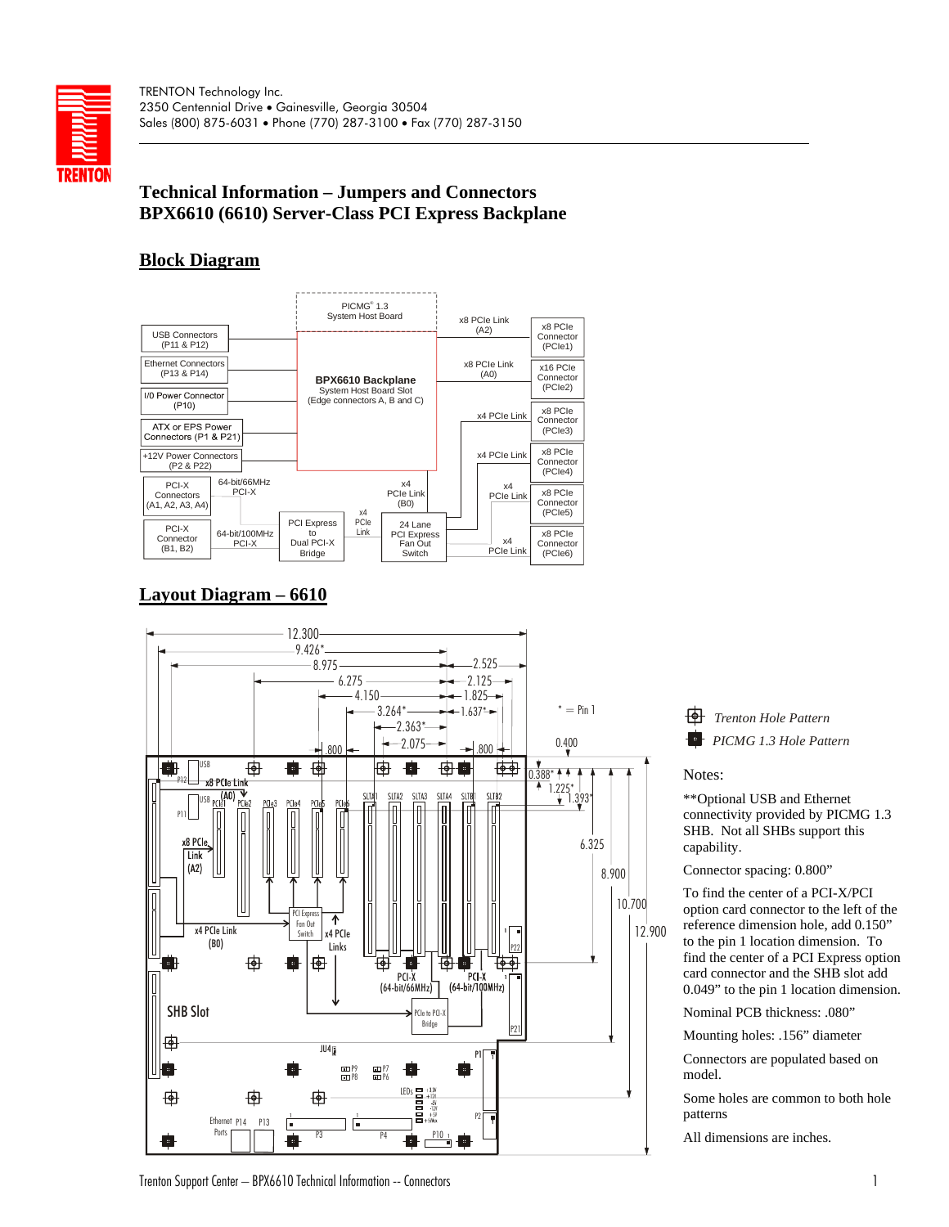

# **Technical Information – Jumpers and Connectors BPX6610 (6610) Server-Class PCI Express Backplane**

# **Block Diagram**



# **Layout Diagram – 6610**



*Trenton Hole Pattern PICMG 1.3 Hole Pattern*

Notes:

\*\*Optional USB and Ethernet connectivity provided by PICMG 1.3 SHB. Not all SHBs support this capability.

Connector spacing: 0.800"

To find the center of a PCI-X/PCI option card connector to the left of the reference dimension hole, add 0.150" to the pin 1 location dimension. To find the center of a PCI Express option card connector and the SHB slot add 0.049" to the pin 1 location dimension.

Nominal PCB thickness: .080"

Mounting holes: .156" diameter

Connectors are populated based on model.

Some holes are common to both hole patterns

All dimensions are inches.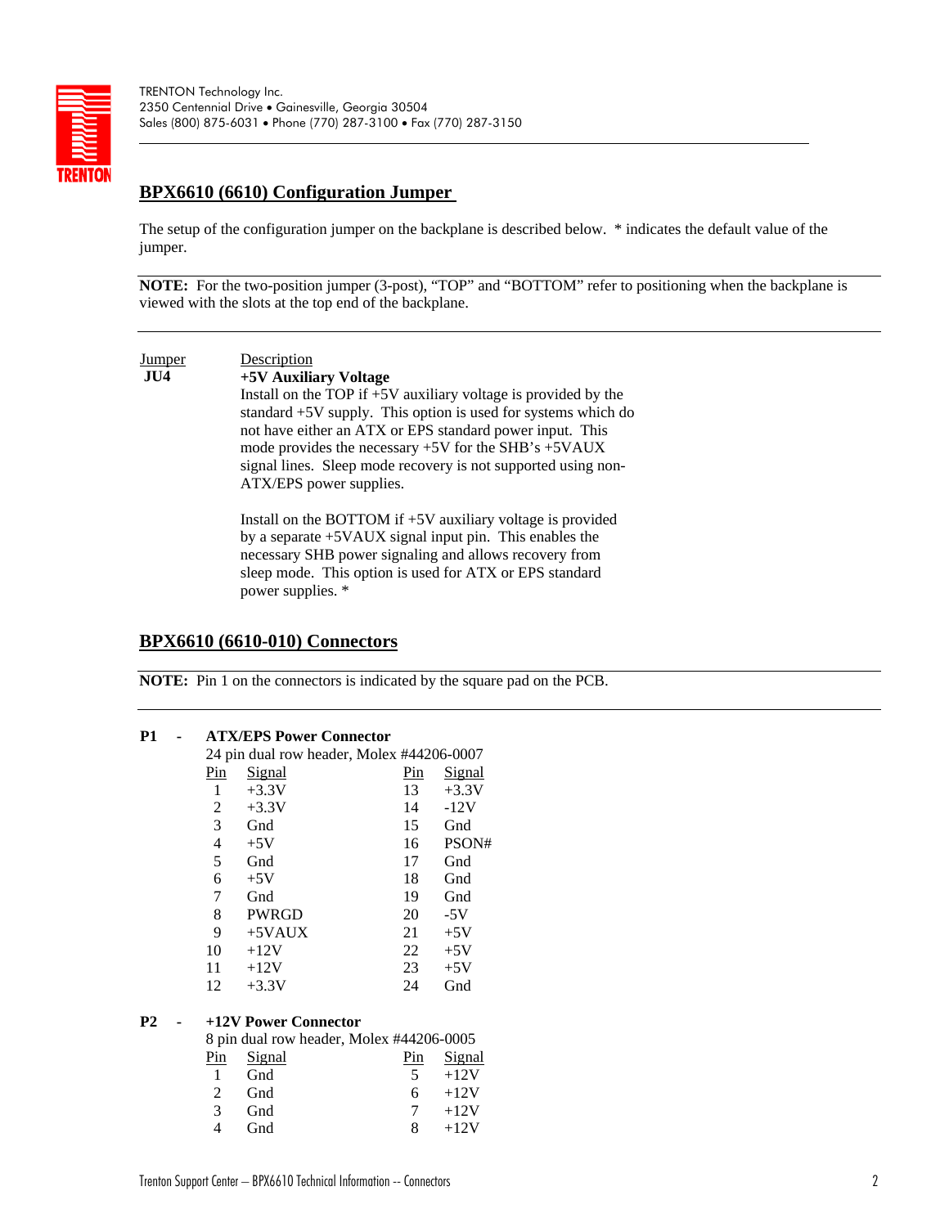

TRENTON Technology Inc. 2350 Centennial Drive • Gainesville, Georgia 30504 Sales (800) 875-6031 • Phone (770) 287-3100 • Fax (770) 287-3150

# **BPX6610 (6610) Configuration Jumper**

The setup of the configuration jumper on the backplane is described below. \* indicates the default value of the jumper.

**NOTE:** For the two-position jumper (3-post), "TOP" and "BOTTOM" refer to positioning when the backplane is viewed with the slots at the top end of the backplane.

### **Jumper** Description **JU4 +5V Auxiliary Voltage** Install on the TOP if +5V auxiliary voltage is provided by the standard +5V supply. This option is used for systems which do not have either an ATX or EPS standard power input. This mode provides the necessary +5V for the SHB's +5VAUX signal lines. Sleep mode recovery is not supported using non-ATX/EPS power supplies. Install on the BOTTOM if +5V auxiliary voltage is provided by a separate +5VAUX signal input pin. This enables the necessary SHB power signaling and allows recovery from

sleep mode. This option is used for ATX or EPS standard power supplies. \*

#### **BPX6610 (6610-010) Connectors**

**NOTE:** Pin 1 on the connectors is indicated by the square pad on the PCB.

| P1             | <b>ATX/EPS Power Connector</b>  |                                           |                   |               |  |  |
|----------------|---------------------------------|-------------------------------------------|-------------------|---------------|--|--|
|                |                                 | 24 pin dual row header, Molex #44206-0007 |                   |               |  |  |
|                | Pin                             | <b>Signal</b>                             | Pin               | <b>Signal</b> |  |  |
|                | $\mathbf{1}$                    | $+3.3V$                                   | 13                | $+3.3V$       |  |  |
|                | $\overline{c}$                  | $+3.3V$                                   | 14                | $-12V$        |  |  |
|                | 3                               | Gnd                                       | 15                | Gnd           |  |  |
|                | 4                               | $+5V$                                     | 16                | PSON#         |  |  |
|                | 5                               | Gnd                                       | 17                | Gnd           |  |  |
|                | 6                               | $+5V$                                     | 18                | Gnd           |  |  |
|                | 7                               | Gnd                                       | 19                | Gnd           |  |  |
|                | 8                               | <b>PWRGD</b>                              | 20                | $-5V$         |  |  |
|                | 9                               | $+5$ VAUX                                 | 21                | $+5V$         |  |  |
|                | 10                              | $+12V$                                    | 22                | $+5V$         |  |  |
|                | 11                              | $+12V$                                    | 23                | $+5V$         |  |  |
|                | 12                              | $+3.3V$                                   | 24                | Gnd           |  |  |
| P <sub>2</sub> |                                 | +12V Power Connector                      |                   |               |  |  |
|                |                                 | 8 pin dual row header, Molex #44206-0005  |                   |               |  |  |
|                | $\frac{\text{Pin}}{\text{Den}}$ | <b>Signal</b>                             | $\mathbf{p}_{in}$ | <u>Signal</u> |  |  |
|                | $\mathbf{1}$                    | Gnd                                       | 5                 | $+12V$        |  |  |
|                | 2                               | Gnd                                       | 6                 | $+12V$        |  |  |
|                | 3                               | Gnd                                       | 7                 | $+12V$        |  |  |
|                | $\overline{4}$                  | Gnd                                       | 8                 | $+12V$        |  |  |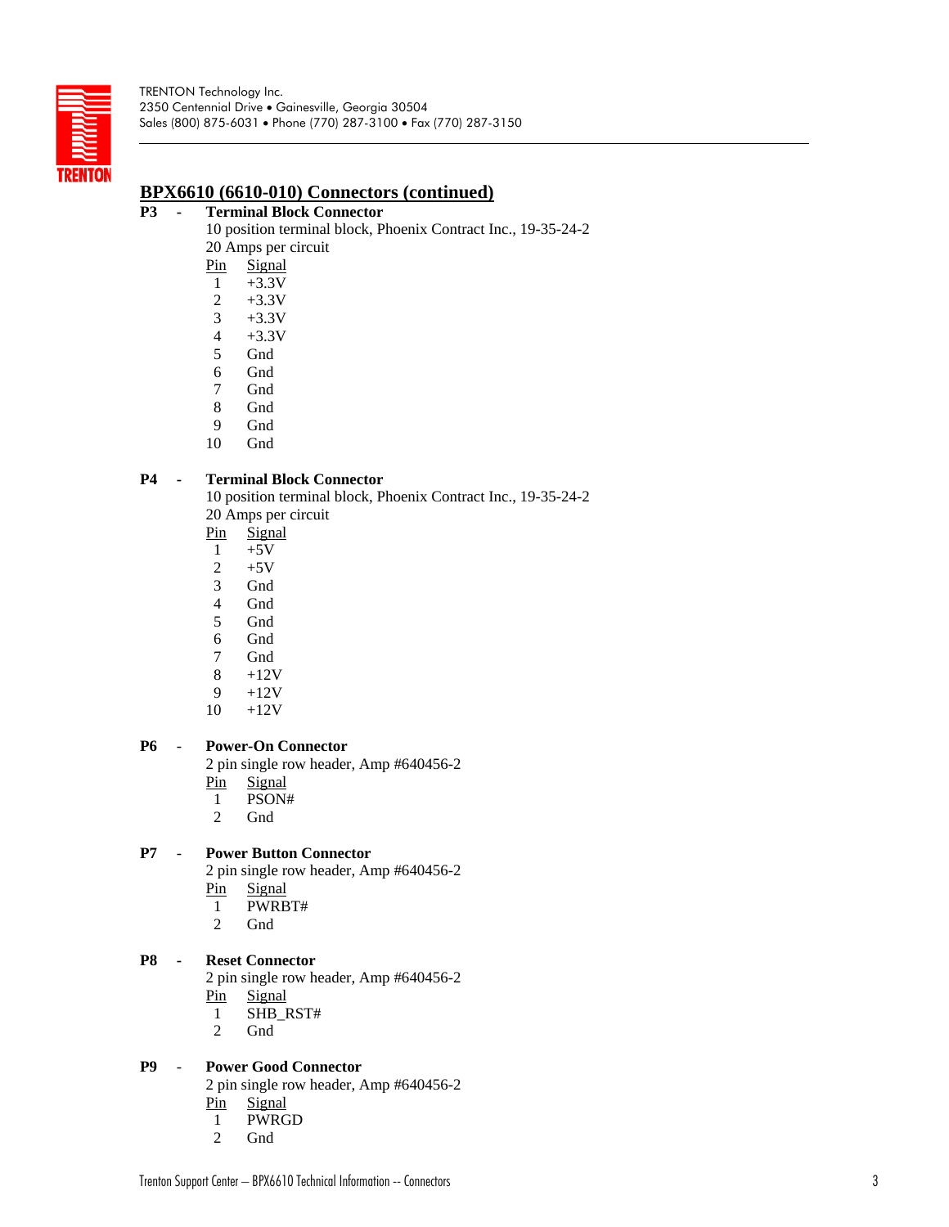

## **BPX6610 (6610-010) Connectors (continued)**

#### **P3 - Terminal Block Connector**

- 10 position terminal block, Phoenix Contract Inc., 19-35-24-2 20 Amps per circuit
	- Pin Signal
	- 1 +3.3V
	- 2 +3.3V
	- 3  $+3.3V$
	- 4  $+3.3V$
	- 5 Gnd
	- 6 Gnd
	- 7 Gnd
	- 8 Gnd
	- 9 Gnd
	- 10 Gnd

#### **P4 - Terminal Block Connector**

10 position terminal block, Phoenix Contract Inc., 19-35-24-2 20 Amps per circuit

- Pin **Signal**
- 1  $+5V$
- 2  $+5V$
- 3 Gnd
- 4 **Gnd**
- 5 Gnd
- 6 Gnd
- 7 Gnd
- 8  $+12V$
- 9  $+12V$
- 10  $+12V$

### **P6** - **Power-On Connector**

2 pin single row header, Amp #640456-2

- Pin **Signal**
- 1 PSON#
- 2 Gnd

### **P7** - **Power Button Connector**

2 pin single row header, Amp #640456-2 Pin **Signal** 

- 1 PWRBT#
- 2 Gnd

#### **P8 - Reset Connector**

2 pin single row header, Amp #640456-2 Pin **Signal** 

- 1 SHB\_RST#
- 2 Gnd

#### **P9** - **Power Good Connector**

2 pin single row header, Amp #640456-2 Pin **Signal** 

- 1 PWRGD
- 2 Gnd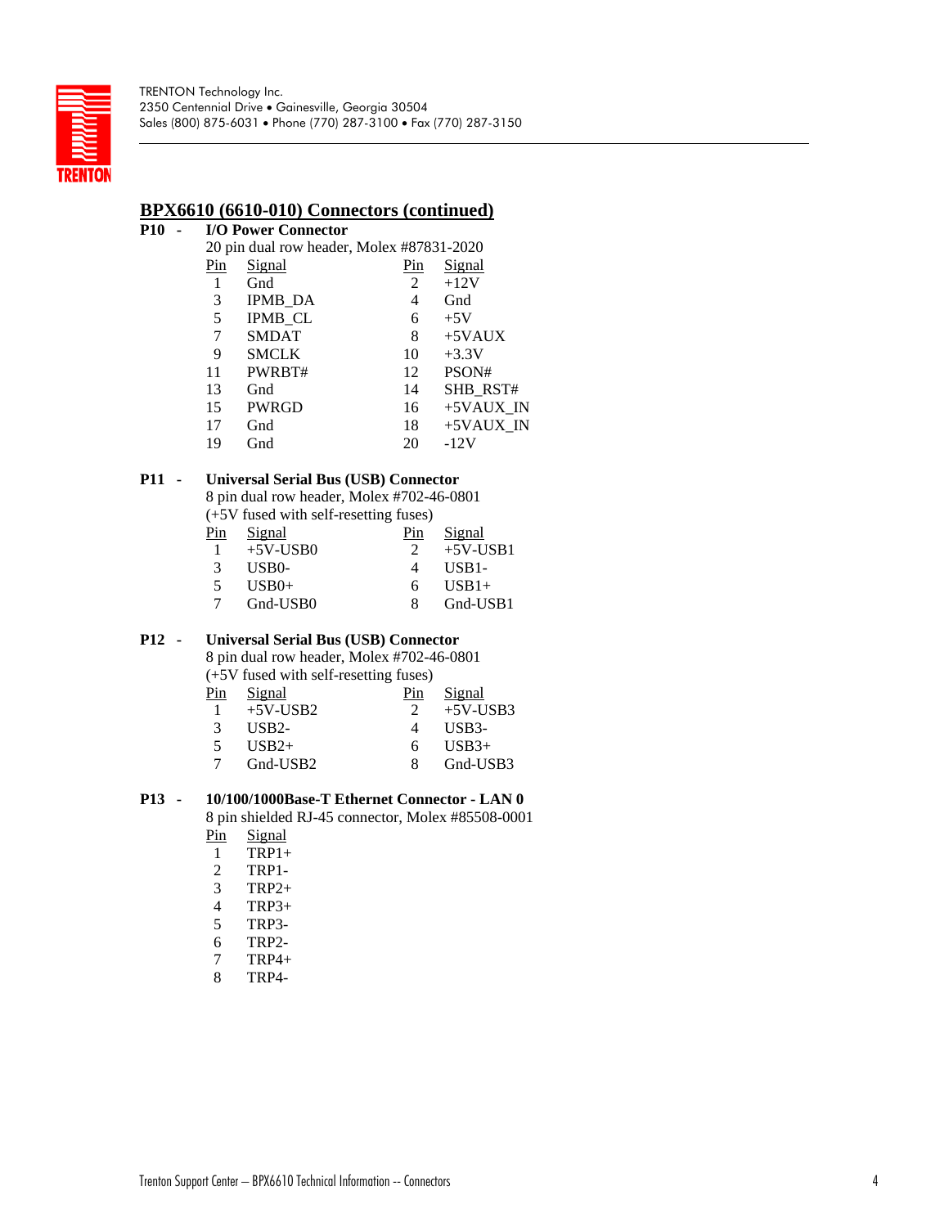

## **BPX6610 (6610-010) Connectors (continued)**

### **P10 - I/O Power Connector**

| 20 pin dual row header, Molex #87831-2020 |                |     |              |  |  |  |
|-------------------------------------------|----------------|-----|--------------|--|--|--|
| Pin                                       | Signal         | Pin | Signal       |  |  |  |
| 1                                         | Gnd            | 2   | $+12V$       |  |  |  |
| 3                                         | <b>IPMB_DA</b> | 4   | Gnd          |  |  |  |
| 5                                         | <b>IPMB_CL</b> | 6   | $+5V$        |  |  |  |
| 7                                         | <b>SMDAT</b>   | 8   | $+5$ VAUX    |  |  |  |
| 9                                         | <b>SMCLK</b>   | 10  | $+3.3V$      |  |  |  |
| 11                                        | PWRBT#         | 12  | PSON#        |  |  |  |
| 13                                        | Gnd            | 14  | SHB_RST#     |  |  |  |
| 15                                        | <b>PWRGD</b>   | 16  | +5VAUX IN    |  |  |  |
| 17                                        | Gnd            | 18  | $+5$ VAUX IN |  |  |  |
| 19                                        | Gnd            | 20  | $-12V$       |  |  |  |

### **P11 - Universal Serial Bus (USB) Connector**

8 pin dual row header, Molex #702-46-0801 (+5V fused with self-resetting fuses)

| Pin           | Signal      | Pin | Signal             |
|---------------|-------------|-----|--------------------|
|               | $+5V$ -USB0 |     | $+5V$ -USB1        |
| $\mathcal{R}$ | USB0-       |     | USB <sub>1</sub> - |
|               | $USB0+$     | 6   | $USB1+$            |
|               | Gnd-USB0    |     | Gnd-USB1           |

## **P12 - Universal Serial Bus (USB) Connector**

8 pin dual row header, Molex #702-46-0801  $(+5V$  fused with self-resetting fuses)

|              | $(\pm 5)$ v Tuscu with sch-resetting ruses) |     |                    |
|--------------|---------------------------------------------|-----|--------------------|
| Pin          | Signal                                      | Pin | Signal             |
| $\mathbf{1}$ | $+5V$ -USB2                                 |     | $+5V$ -USB3        |
| 3            | $I$ <i>ISB<sub>2</sub></i>                  |     | USB <sub>3</sub> - |
| 5            | $USB2+$                                     | 6.  | $USB3+$            |
|              | Gnd-USB2                                    | 8   | Gnd-USB3           |
|              |                                             |     |                    |

## **P13 - 10/100/1000Base-T Ethernet Connector - LAN 0**

8 pin shielded RJ-45 connector, Molex #85508-0001

- Pin Signal
- 1 TRP1+
- 2 TRP1-
- 3 TRP2+
- 4 TRP3+
- 5 TRP3-
- 6 TRP2-
- 7 TRP4+
- 8 TRP4-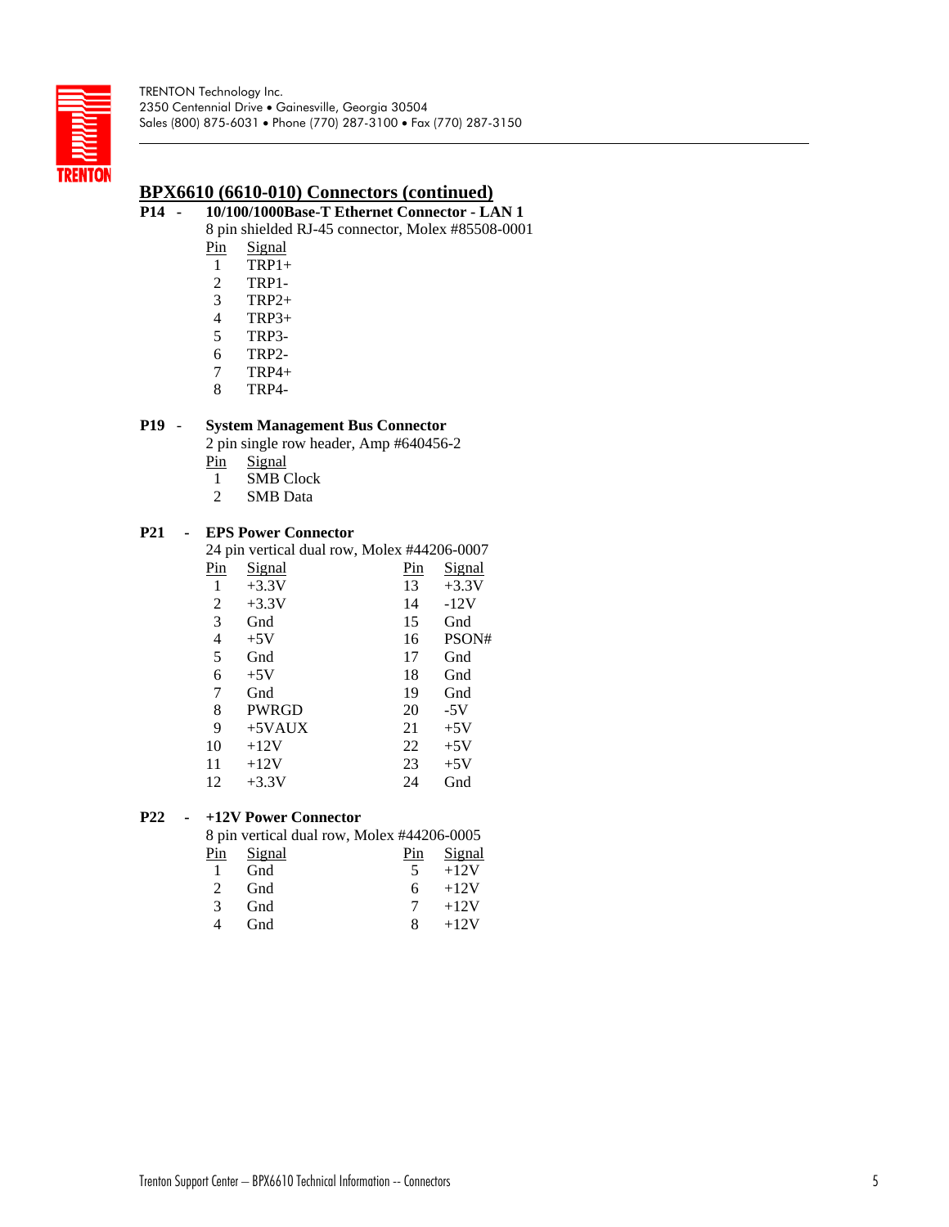

## **BPX6610 (6610-010) Connectors (continued)**

## **P14 - 10/100/1000Base-T Ethernet Connector - LAN 1**

8 pin shielded RJ-45 connector, Molex #85508-0001

- Pin **Signal**
- 1 TRP1+
- 2 TRP1-
- 3 TRP2+
- 4 TRP3+
- 5 TRP3-
- 6 TRP2-
- 7 TRP4+
- 8 TRP4-

### **P19** - **System Management Bus Connector**

2 pin single row header, Amp #640456-2

- Pin Signal
- 1 SMB Clock
- 2 SMB Data

### **P21 - EPS Power Connector**

24 pin vertical dual row, Molex #44206-0007

| Pin | <u>Signal</u> | $\frac{\text{Pin}}{\text{Pin}}$ | Signal  |
|-----|---------------|---------------------------------|---------|
| 1   | $+3.3V$       | 13                              | $+3.3V$ |
| 2   | $+3.3V$       | 14                              | $-12V$  |
| 3   | Gnd           | 15                              | Gnd     |
| 4   | $+5V$         | 16                              | PSON#   |
| 5   | Gnd           | 17                              | Gnd     |
| 6   | $+5V$         | 18                              | Gnd     |
| 7   | Gnd           | 19                              | Gnd     |
| 8   | <b>PWRGD</b>  | 20                              | $-5V$   |
| 9   | $+5$ VAUX     | 21                              | $+5V$   |
| 10  | $+12V$        | 22                              | $+5V$   |
| 11  | $+12V$        | 23                              | $+5V$   |
| 12  | $+3.3V$       | 24                              | Gnd     |
|     |               |                                 |         |

### **P22 - +12V Power Connector**

8 pin vertical dual row, Molex #44206-0005

| Pin           | Signal | Pin | Signal |
|---------------|--------|-----|--------|
| $\mathbf{1}$  | Gnd    | 5.  | $+12V$ |
| $2^{\circ}$   | Gnd    | 6.  | $+12V$ |
| $\mathcal{R}$ | Gnd    |     | $+12V$ |
| 4             | Gnd    | 8   | $+12V$ |
|               |        |     |        |